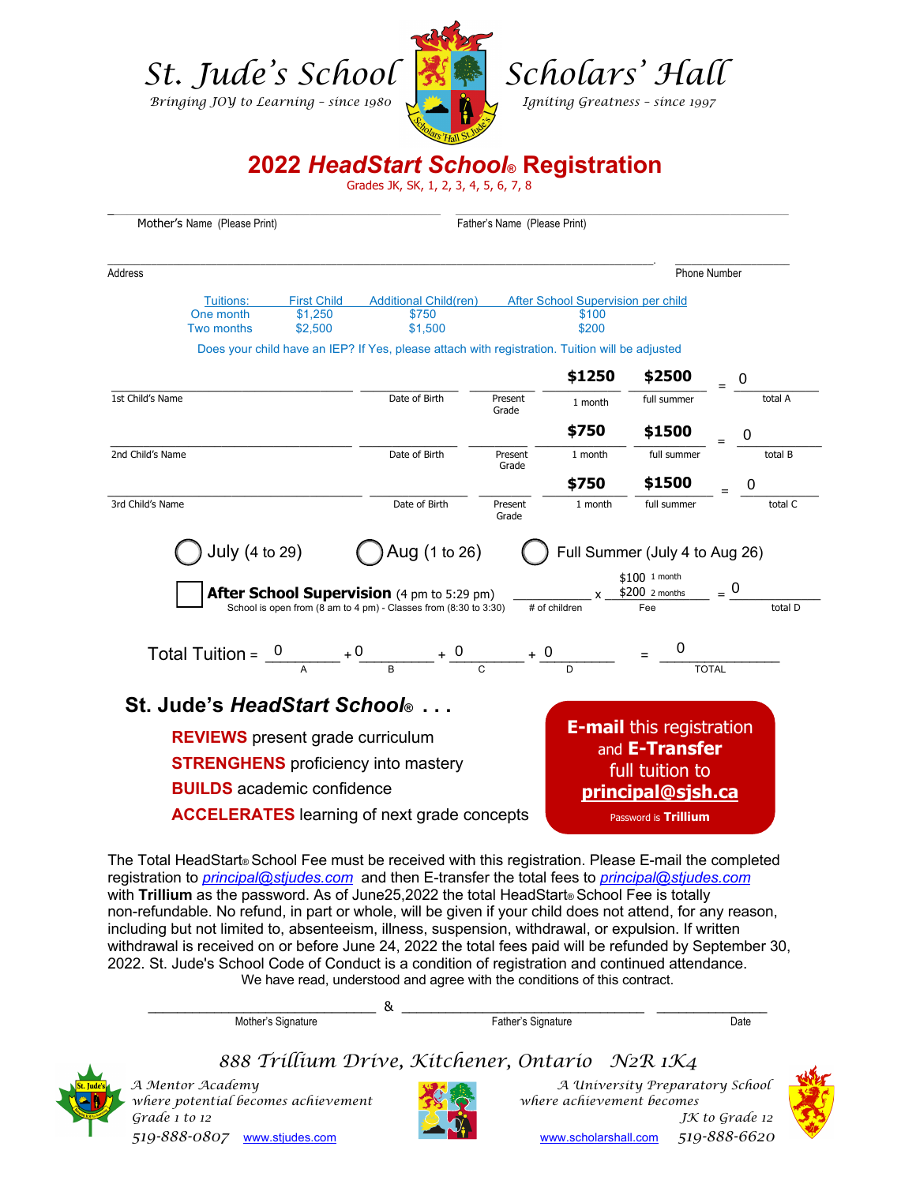

**2022** *HeadStart School***® Registration**

 $\_$  , and the state of the state of the state of the state of the state of the state of the state of the state of the state of the state of the state of the state of the state of the state of the state of the state of the

Grades JK, SK, 1, 2, 3, 4, 5, 6, 7, 8

| Mother's Name (Please Print) |                   |                                         |                                                                                                                       |                  |                                    |                                                                                                                                    |             |
|------------------------------|-------------------|-----------------------------------------|-----------------------------------------------------------------------------------------------------------------------|------------------|------------------------------------|------------------------------------------------------------------------------------------------------------------------------------|-------------|
| Address                      |                   |                                         |                                                                                                                       |                  |                                    | <b>Phone Number</b>                                                                                                                |             |
|                              | Tuitions:         | <b>First Child</b>                      | <b>Additional Child(ren)</b>                                                                                          |                  | After School Supervision per child |                                                                                                                                    |             |
|                              | One month         | \$1,250                                 | \$750                                                                                                                 |                  | \$100                              |                                                                                                                                    |             |
|                              | <b>Two months</b> | \$2,500                                 | \$1,500                                                                                                               |                  | \$200                              |                                                                                                                                    |             |
|                              |                   |                                         | Does your child have an IEP? If Yes, please attach with registration. Tuition will be adjusted                        |                  |                                    |                                                                                                                                    |             |
|                              |                   |                                         |                                                                                                                       |                  | \$1250                             |                                                                                                                                    | $$2500 = 0$ |
| 1st Child's Name             |                   |                                         | Date of Birth                                                                                                         | Present<br>Grade | 1 month                            | full summer                                                                                                                        |             |
|                              |                   |                                         |                                                                                                                       |                  | \$750                              | \$1500                                                                                                                             |             |
| 2nd Child's Name             |                   |                                         | Date of Birth                                                                                                         | Present<br>Grade | 1 month                            | full summer                                                                                                                        | total B     |
|                              |                   |                                         |                                                                                                                       |                  | \$750                              | \$1500                                                                                                                             |             |
|                              |                   |                                         |                                                                                                                       |                  |                                    |                                                                                                                                    |             |
| 3rd Child's Name             | July (4 to 29)    |                                         | Date of Birth<br>$\bigcirc$ Aug (1 to 26)                                                                             | Present<br>Grade | 1 month                            | full summer<br>Full Summer (July 4 to Aug 26)                                                                                      | total C     |
|                              |                   |                                         | <b>After School Supervision</b> (4 pm to 5:29 pm)<br>School is open from (8 am to 4 pm) - Classes from (8:30 to 3:30) |                  | # of children                      | $$100$ 1 month<br>$\frac{1}{\sqrt{1-\frac{1}{100}}}\times\frac{\frac{1}{20002 \text{ months}}}{\frac{1}{100000000}} = \frac{0}{0}$ |             |
|                              |                   |                                         |                                                                                                                       |                  |                                    |                                                                                                                                    | total D     |
|                              |                   |                                         | Total Tuition = $\frac{0}{100} + \frac{0}{100} + \frac{0}{100} + \frac{0}{100} + \frac{0}{100} = \frac{0}{100}$       |                  |                                    | <b>TOTAL</b>                                                                                                                       |             |
|                              |                   |                                         | St. Jude's HeadStart School®                                                                                          |                  |                                    |                                                                                                                                    |             |
|                              |                   | <b>REVIEWS</b> present grade curriculum |                                                                                                                       |                  |                                    | <b>E-mail</b> this registration                                                                                                    |             |
|                              |                   |                                         | <b>STRENGHENS</b> proficiency into mastery                                                                            |                  |                                    | and E-Transfer                                                                                                                     |             |
|                              |                   |                                         |                                                                                                                       |                  |                                    | full tuition to                                                                                                                    |             |
|                              |                   | <b>BUILDS</b> academic confidence       | <b>ACCELERATES</b> learning of next grade concepts                                                                    |                  |                                    | <u>principal@sjsh.ca</u><br>Password is <b>Trillium</b>                                                                            |             |

The Total HeadStart® School Fee must be received with this registration. Please E-mail the completed registration to *principal@stjudes.com* and then E-transfer the total fees to *principal@stjudes.com* with **Trillium** as the password. As of June25,2022 the total HeadStart® School Fee is totally non-refundable. No refund, in part or whole, will be given if your child does not attend, for any reason, including but not limited to, absenteeism, illness, suspension, withdrawal, or expulsion. If written withdrawal is received on or before June 24, 2022 the total fees paid will be refunded by September 30, 2022. St. Jude's School Code of Conduct is a condition of registration and continued attendance. We have read, understood and agree with the conditions of this contract.



*888 Trillium Drive, Kitchener, Ontario N2R 1K4* 

 *where potential becomes achievement where achievement becomes 519-888-0807* www.stjudes.com www.scholarshall.com *519-888-6620*



*A Mentor Academy A University Preparatory School Grade 1 to 12 JK to Grade 12*